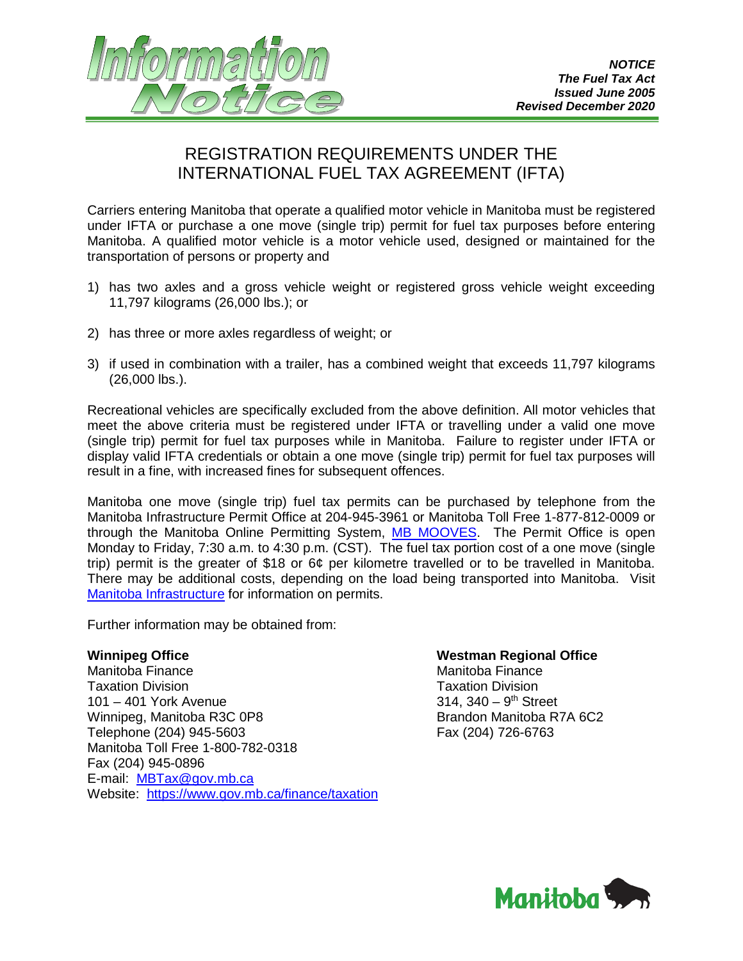

## REGISTRATION REQUIREMENTS UNDER THE INTERNATIONAL FUEL TAX AGREEMENT (IFTA)

Carriers entering Manitoba that operate a qualified motor vehicle in Manitoba must be registered under IFTA or purchase a one move (single trip) permit for fuel tax purposes before entering Manitoba. A qualified motor vehicle is a motor vehicle used, designed or maintained for the transportation of persons or property and

- 1) has two axles and a gross vehicle weight or registered gross vehicle weight exceeding 11,797 kilograms (26,000 lbs.); or
- 2) has three or more axles regardless of weight; or
- 3) if used in combination with a trailer, has a combined weight that exceeds 11,797 kilograms (26,000 lbs.).

Recreational vehicles are specifically excluded from the above definition. All motor vehicles that meet the above criteria must be registered under IFTA or travelling under a valid one move (single trip) permit for fuel tax purposes while in Manitoba. Failure to register under IFTA or display valid IFTA credentials or obtain a one move (single trip) permit for fuel tax purposes will result in a fine, with increased fines for subsequent offences.

Manitoba one move (single trip) fuel tax permits can be purchased by telephone from the Manitoba Infrastructure Permit Office at 204-945-3961 or Manitoba Toll Free 1-877-812-0009 or through the Manitoba Online Permitting System, [MB MOOVES.](https://www.gov.mb.ca/mit/mcd/permits/application.html) The Permit Office is open Monday to Friday, 7:30 a.m. to 4:30 p.m. (CST). The fuel tax portion cost of a one move (single trip) permit is the greater of \$18 or 6¢ per kilometre travelled or to be travelled in Manitoba. There may be additional costs, depending on the load being transported into Manitoba. Visit [Manitoba Infrastructure](https://www.gov.mb.ca/mit/mcd/permits/index.html) for information on permits.

Further information may be obtained from:

**Winnipeg Office Westman Regional Office** Manitoba Finance Taxation Division<br>101 – 401 York Avenue 101 – 401 Street  $101 - 401$  York Avenue Winnipeg, Manitoba R3C 0P8 Brandon Manitoba R7A 6C2 Telephone (204) 945-5603 Fax (204) 726-6763 Manitoba Toll Free 1-800-782-0318 Fax (204) 945-0896 E-mail: [MBTax@gov.mb.ca](mailto:MBTax@gov.mb.ca) Website: <https://www.gov.mb.ca/finance/taxation>